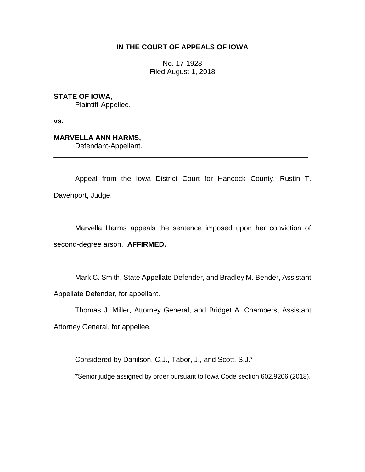## **IN THE COURT OF APPEALS OF IOWA**

No. 17-1928 Filed August 1, 2018

**STATE OF IOWA,**

Plaintiff-Appellee,

**vs.**

## **MARVELLA ANN HARMS,**

Defendant-Appellant.

Appeal from the Iowa District Court for Hancock County, Rustin T. Davenport, Judge.

\_\_\_\_\_\_\_\_\_\_\_\_\_\_\_\_\_\_\_\_\_\_\_\_\_\_\_\_\_\_\_\_\_\_\_\_\_\_\_\_\_\_\_\_\_\_\_\_\_\_\_\_\_\_\_\_\_\_\_\_\_\_\_\_

Marvella Harms appeals the sentence imposed upon her conviction of second-degree arson. **AFFIRMED.** 

Mark C. Smith, State Appellate Defender, and Bradley M. Bender, Assistant Appellate Defender, for appellant.

Thomas J. Miller, Attorney General, and Bridget A. Chambers, Assistant Attorney General, for appellee.

Considered by Danilson, C.J., Tabor, J., and Scott, S.J.\*

\*Senior judge assigned by order pursuant to Iowa Code section 602.9206 (2018).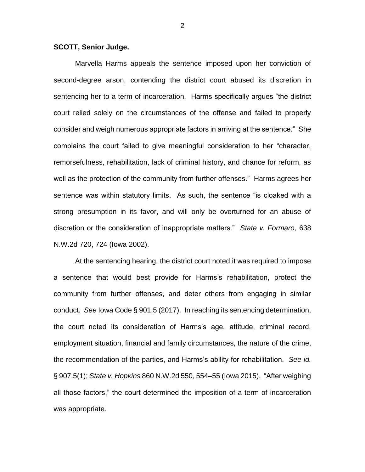## **SCOTT, Senior Judge.**

Marvella Harms appeals the sentence imposed upon her conviction of second-degree arson, contending the district court abused its discretion in sentencing her to a term of incarceration. Harms specifically argues "the district court relied solely on the circumstances of the offense and failed to properly consider and weigh numerous appropriate factors in arriving at the sentence." She complains the court failed to give meaningful consideration to her "character, remorsefulness, rehabilitation, lack of criminal history, and chance for reform, as well as the protection of the community from further offenses." Harms agrees her sentence was within statutory limits. As such, the sentence "is cloaked with a strong presumption in its favor, and will only be overturned for an abuse of discretion or the consideration of inappropriate matters." *State v. Formaro*, 638 N.W.2d 720, 724 (Iowa 2002).

At the sentencing hearing, the district court noted it was required to impose a sentence that would best provide for Harms's rehabilitation, protect the community from further offenses, and deter others from engaging in similar conduct. *See* Iowa Code § 901.5 (2017). In reaching its sentencing determination, the court noted its consideration of Harms's age, attitude, criminal record, employment situation, financial and family circumstances, the nature of the crime, the recommendation of the parties, and Harms's ability for rehabilitation. *See id.* § 907.5(1); *State v. Hopkins* 860 N.W.2d 550, 554–55 (Iowa 2015). "After weighing all those factors," the court determined the imposition of a term of incarceration was appropriate.